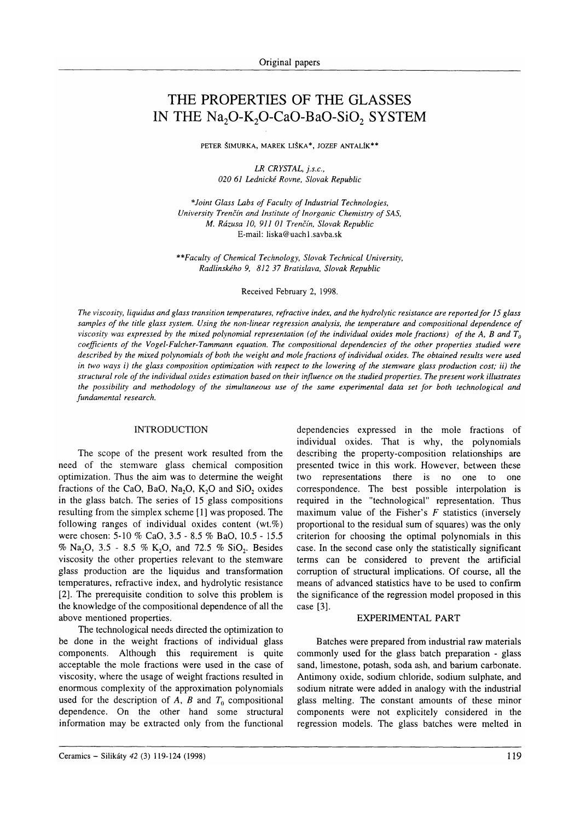# THE PROPERTIES OF THE GLASSES IN THE Na<sub>2</sub>O-K<sub>2</sub>O-CaO-BaO-SiO<sub>2</sub> SYSTEM

PETER ŠIMURKA, MAREK LIŠKA\*, JOZEF ANTALÍK\*\*

LR CRYSTAL, j.s.c., 020 61 Lednické Rovne, Slovak Republic

\*Joint Glass Labs of Faculty of Industrial Technologies, University Trenčín and Institute of Inorganic Chemistry of SAS, M. Rázusa 10, 911 01 Trenčín, Slovak Republic E-mail: liska@uach l.savba.sk

\*\*Faculty of Chemical Technology, Slovak Technical Universiry, Radlinského 9, 812 37 Bratislava, Slovak Republic

Received February 2, 1998.

The viscosity, liquidus and glass transition temperatures, refractive index, and the hydrolytic resistance are reported for 15 glass samples of the title glass system. Using the non-linear regression analysis, the temperature and compositional dependence of viscosity was expressed by the mixed polynomial representation (of the individual oxides mole fractions) of the A, B and  $T_a$ coefficients of the Vogel-Fulcher-Tammann equation. The compositional dependencies of the other properties studied were described by the mixed polynomials of both the weight and mole fractions of individual oxides. The obtained results were used in two ways i) the glass composition optimization with respect to the lowering of the stemware glass production cost; ii) the structural role of the individual oxides estimation based on their influence on the studied properties. The present work illustrates the possibility and methodology of the simultaneous use of the same experimental data set for both technological and fundamental research.

## INTRODUCTION

The scope of the present work resulted from the need of the stemware glass chemical composition optimization. Thus the aim was to determine the weight fractions of the CaO, BaO, Na<sub>2</sub>O, K<sub>2</sub>O and SiO<sub>2</sub> oxides in the glass batch. The series of 15 glass compositions resulting from the simplex scheme [1] was proposed. The following ranges of individual oxides content  $(wt.\%)$ were chosen: 5-10 % CaO, 3.5 - 8.5 % BaO, 10.5 - 15.5 % Na<sub>2</sub>O, 3.5 - 8.5 % K<sub>2</sub>O, and 72.5 % SiO<sub>2</sub>. Besides viscosity the other properties relevant to the stemware glass production are the liquidus and transformation temperatures, refractive index, and hydrolytic resistance [2]. The prerequisite condition to solve this problem is the knowledge of the compositional dependence of all the above mentioned properties.

The technological needs directed the optimization to be done in the weight fractions of individual glass components. Although this requirement is quite acceptable the mole fractions were used in the case of viscosity, where the usage of weight fractions resulted in enorrnous complexity of the approximation polynomials used for the description of A, B and  $T_0$  compositional dependence. On the other hand some structural information may be extracted only from the functional dependencies expressed in the mole fractions of individual oxides. That is why, the polynomials describing the property-composition relationships are presented twice in this work. However, between these two representations there is no one to one correspondence. The best possible interpolation is required in the "technological" representation. Thus maximum value of the Fisher's  $F$  statistics (inversely proportional to the residual sum of squares) was the only criterion for choosing the optimal polynomials in this case. In the second case only the statistically significant terms can be considered to prevent the artificial corruption of structural implications. Of course, all the means of advanced statistics have to be used to confirm the significance of the regression model proposed in this case [3].

#### EXPERIMENTAL PART

Batches were prepared from industrial raw materials commonly used for the glass batch preparation - glass sand, limestone, potash, soda ash, and barium carbonate. Antimony oxide, sodium chloride, sodium sulphate, and sodium nitrate were added in analogy with the industrial glass melting. The constant amounts of these minor components were not explicitely considered in the regression models, The glass batches were melted in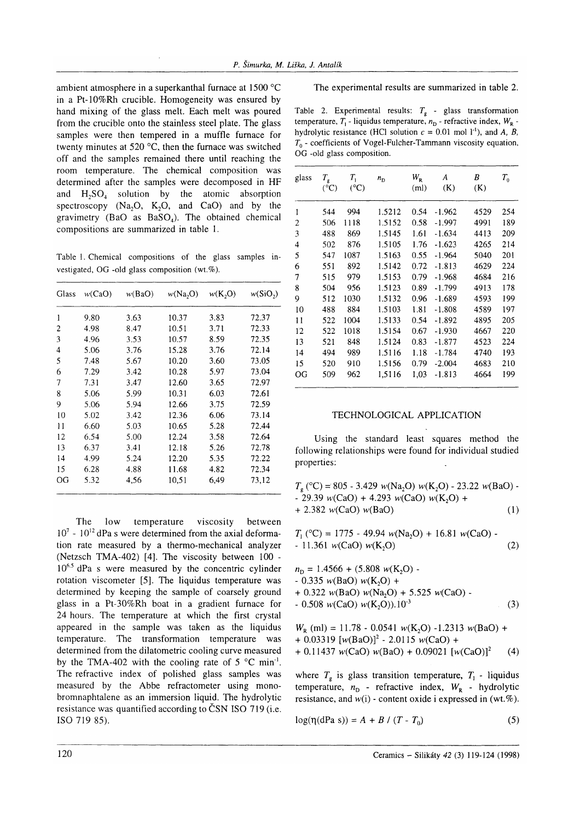ambient atmosphere in a superkanthal furnace at  $1500^{\circ}$ C in a Pt-10%Rh crucible. Homogeneity was ensured by hand mixing of the glass melt. Each melt was poured from the crucible onto the stainless steel plate. The glass samples were then tempered in a muffle furnace for twenty minutes at 520  $\mathrm{^{\circ}C}$ , then the furnace was switched off and the samples remained there until reaching the room temperature. The chemical composition was determined after the samples were decomposed in HF and  $H_2SO_4$  solution by the atomic absorption spectroscopy  $(Na, O, K, O, and CaO)$  and by the gravimetry (BaO as  $BaSO<sub>4</sub>$ ). The obtained chemical compositions are summarized in table 1.

Table L Chemical compositions of the glass samples investigated, OG -old glass composition (wt.%).

| Glass | w(CaO) | w(BaO) | w(Na,0) | w(K, O) | $w(SiO_2)$ |
|-------|--------|--------|---------|---------|------------|
| 1     | 9.80   | 3.63   | 10.37   | 3.83    | 72.37      |
| 2     | 4.98   | 8.47   | 10.51   | 3.71    | 72.33      |
| 3     | 4.96   | 3.53   | 10.57   | 8.59    | 72.35      |
| 4     | 5.06   | 3.76   | 15.28   | 3.76    | 72.14      |
| 5     | 7.48   | 5.67   | 10.20   | 3.60    | 73.05      |
| 6     | 7.29   | 3.42   | 10.28   | 5.97    | 73.04      |
| 7     | 7.31   | 3.47   | 12.60   | 3.65    | 72.97      |
| 8     | 5.06   | 5.99   | 10.31   | 6.03    | 72.61      |
| 9     | 5.06   | 5.94   | 12.66   | 3.75    | 72.59      |
| 10    | 5.02   | 3.42   | 12.36   | 6.06    | 73.14      |
| 11    | 6.60   | 5.03   | 10.65   | 5.28    | 72.44      |
| 12    | 6.54   | 5.00   | 12.24   | 3.58    | 72.64      |
| 13    | 6.37   | 3.41   | 12.18   | 5.26    | 72.78      |
| 14    | 4.99   | 5.24   | 12.20   | 5.35    | 72.22      |
| 15    | 6.28   | 4.88   | 11.68   | 4.82    | 72.34      |
| OG    | 5.32   | 4,56   | 10.51   | 6.49    | 73,12      |

The low temperature viscosity between  $10^7$  -  $10^{12}$  dPa s were determined from the axial deformation rate measured by a thermo-mechanical analyzer (Netzsch TMA-402) [4]. The viscosity between  $100$  - $10^{6.5}$  dPa s were measured by the concentric cylinder rotation viscometer [5]. The liquidus temperature was determined by keeping the sample of coarsely ground glass in a Pt-30%Rh boat in a gradient furnace for 24 hours. The temperature at which the first crystal appeared in the sample was taken as the liquidus temperature. The transformation temperature was determined from the dilatometric cooling curve measured by the TMA-402 with the cooling rate of  $5^{\circ}$ C min<sup>-1</sup>. The refractive index of polished glass samples was measured by the Abbe refractometer using monobromnaphtalene as an immersion liquid. The hydrolytic resistance was quantified according to ČSN ISO 719 (i.e. ISO 719 85).

## The experimental results are summarized in table 2.

Table 2. Experimental results:  $T<sub>g</sub>$  - glass transformation temperature,  $T_1$  - liquidus temperature,  $n_D$  - refractive index,  $W_R$  hydrolytic resistance (HCl solution  $c = 0.01$  mol l<sup>-1</sup>), and A, B,  $T_0$  - coefficients of Vogel-Fulcher-Tammann viscosity equation, OG -old glass composition.

| glass                   | $T_{\rm g}$<br>$({}^{\circ}C)$ | $T_{1}$<br>$(^{\circ}C)$ | $n_{\rm D}$ | $W_{R}$<br>(ml) | A<br>(K) | B<br>(K) | $T_{0}$ |
|-------------------------|--------------------------------|--------------------------|-------------|-----------------|----------|----------|---------|
| 1                       | 544                            | 994                      | 1.5212      | 0.54            | $-1.962$ | 4529     | 254     |
| $\overline{c}$          | 506                            | 1118                     | 1.5152      | 0.58            | $-1.997$ | 4991     | 189     |
| 3                       | 488                            | 869                      | 1.5145      | 1.61            | $-1.634$ | 4413     | 209     |
| $\overline{\mathbf{4}}$ | 502                            | 876                      | 1.5105      | 1.76            | $-1.623$ | 4265     | 214     |
| 5                       | 547                            | 1087                     | 1.5163      | 0.55            | $-1.964$ | 5040     | 201     |
| 6                       | 551                            | 892                      | 1.5142      | 0.72            | $-1.813$ | 4629     | 224     |
| 7                       | 515                            | 979                      | 1.5153      | 0.79            | $-1.968$ | 4684     | 216     |
| 8                       | 504                            | 956                      | 1.5123      | 0.89            | $-1.799$ | 4913     | 178     |
| 9                       | 512                            | 1030                     | 1.5132      | 0.96            | $-1.689$ | 4593     | 199     |
| 10                      | 488                            | 884                      | 1.5103      | 1.81            | $-1.808$ | 4589     | 197     |
| $\mathbf{1}$            | 522                            | 1004                     | 1.5133      | 0.54            | $-1.892$ | 4895     | 205     |
| 12                      | 522                            | 1018                     | 1.5154      | 0.67            | $-1.930$ | 4667     | 220     |
| 13                      | 521                            | 848                      | 1.5124      | 0.83            | $-1.877$ | 4523     | 224     |
| 14                      | 494                            | 989                      | 1.5116      | 1.18            | $-1.784$ | 4740     | 193     |
| 15                      | 520                            | 910                      | 1.5156      | 0.79            | $-2.004$ | 4683     | 210     |
| OG                      | 509                            | 962                      | 1,5116      | 1,03            | $-1.813$ | 4664     | 199     |

## TECHNOLOGICAL APPLICATION

Using the standard least squares method the following relationships were found for individual studied properties:

$$
T_g(^{\circ}\text{C}) = 805 - 3.429 \ w(\text{Na}_2\text{O}) w(\text{K}_2\text{O}) - 23.22 \ w(\text{BaO}) - 29.39 \ w(\text{CaO}) + 4.293 \ w(\text{CaO}) w(\text{K}_2\text{O}) + 2.382 \ w(\text{CaO}) w(\text{BaO}) \tag{1}
$$

$$
T_1 (^{\circ}C) = 1775 - 49.94 w(Na_2O) + 16.81 w(CaO) - 11.361 w(CaO) w(K_2O)
$$
 (2)

$$
n_{\rm D} = 1.4566 + (5.808 \, w(\text{K}_2\text{O}) - 0.335 \, w(\text{BaO}) \, w(\text{K}_2\text{O}) + 0.322 \, w(\text{BaO}) \, w(\text{Na}_2\text{O}) + 5.525 \, w(\text{CaO}) - 0.508 \, w(\text{CaO}) \, w(\text{K}_2\text{O})).10^3 \tag{3}
$$

$$
W_{R} (ml) = 11.78 - 0.0541 w(K_{2}O) - 1.2313 w(BaO) + 0.03319 [w(BaO)]^{2} - 2.0115 w(CaO) + 0.11437 w(CaO) w(BaO) + 0.09021 [w(CaO)]^{2}
$$
 (4)

where  $T<sub>g</sub>$  is glass transition temperature,  $T<sub>1</sub>$  - liquidus temperature,  $n_D$  - refractive index,  $W_R$  - hydrolytic resistance, and  $w(i)$  - content oxide i expressed in (wt.%).

$$
log(\eta(dPa s)) = A + B / (T - T_0)
$$
 (5)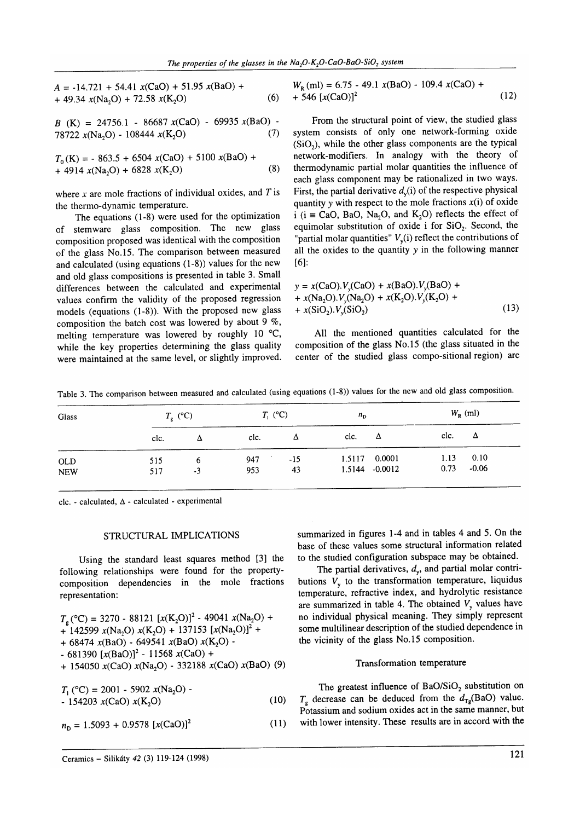$$
A = -14.721 + 54.41 x(CaO) + 51.95 x(BaO) ++ 49.34 x(Na2O) + 72.58 x(K2O)
$$
 (6)

 $B$  (K) = 24756.1 - 86687 x(CaO) - 69935 x(BaO) -<br>78722 x(Na O) - 108444 x(K,O) (7) 78722  $x(Na, O) - 108444 x(K, O)$ 

$$
T_0(K) = -863.5 + 6504 x(CaO) + 5100 x(BaO) ++ 4914 x(Na2O) + 6828 x(K2O)
$$
 (8)

where  $x$  are mole fractions of individual oxides, and  $T$  is the thermo-dynamic temperature.

The equations (1-8) were used for the optimization of stemware glass composition. The new glass composition proposed was identical with the composition of the glass No.15. The comparison between measured and calculated (using equations (l-8)) values for the new and old glass compositions is presented in table 3. Small differences between the calculated and experimental values confirm the validity of the proposed regression models (equations (l-8)). With the proposed new glass composition the batch cost was lowered by about 9  $\%$ , melting temperature was lowered by roughly 10  $^{\circ}$ C, while the key properties determining the glass quality were maintained at the same level, or slightly improved.

$$
W_{R} (ml) = 6.75 - 49.1 x(BaO) - 109.4 x(CaO) ++ 546 [x(CaO)]2
$$
 (12)

From the structural point of view, the studied glass system consists of only one network-forming oxide  $(SiO<sub>2</sub>)$ , while the other glass components are the typical network-modifiers. In analogy with the theory of thermodynamic partial molar quantities the influence of each glass component may be rationalized in two ways. First, the partial derivative  $d<sub>v</sub>(i)$  of the respective physical quantity y with respect to the mole fractions  $x(i)$  of oxide i ( $i \equiv$  CaO, BaO, Na<sub>2</sub>O, and K<sub>2</sub>O) reflects the effect of equimolar substitution of oxide i for  $SiO<sub>2</sub>$ . Second, the "partial molar quantities"  $V_{\nu}(i)$  reflect the contributions of all the oxides to the quantity y in the following manner [6]:

$$
y = x(CaO).V_y(CaO) + x(BaO).V_y(BaO) ++ x(Na2O).V_y(Na2O) + x(K2O).V_y(K2O) ++ x(SiO2).V_y(SiO2)
$$
\n(13)

All the mentioned quantities calculated for the composition of the glass No.15 (the glass situated in the center of the studied glass compo-sitional region) are

Table 3. The comparison between measured and calculated (using equations (l-8)) values for the new and old glass composition.

| Glass                    | $T_{\rm e}$ (°C) |           | $T_{1}$ (°C) |             | $n_{\rm D}$ |                          | $W_{R}$ (ml) |                 |
|--------------------------|------------------|-----------|--------------|-------------|-------------|--------------------------|--------------|-----------------|
|                          | clc.             |           | clc.         | Δ           | clc.        | Δ                        | clc.         | $\Delta$        |
| <b>OLD</b><br><b>NEW</b> | 515<br>517       | b<br>$-3$ | 947<br>953   | $-15$<br>43 | 1.5117      | 0.0001<br>1.5144 -0.0012 | 1.13<br>0.73 | 0.10<br>$-0.06$ |

clc. - calculated,  $\Delta$  - calculated - experimental

## STRUCTURAL IMPLICATIONS

Using the standard least squares method [3] the following relationships were found for the propertycomposition dependencies in the mole fractions representation:

$$
T_g(^{\circ}\text{C}) = 3270 - 88121 [x(K_2O)]^2 - 49041 x(Na_2O) ++ 142599 x(Na_2O) x(K_2O) + 137153 [x(Na_2O)]^2 ++ 68474 x(BaO) - 649541 x(BaO) x(K_2O) -- 681390 [x(BaO)]^2 - 11568 x(CaO) ++ 154050 x(CaO) x(Na_2O) - 332188 x(CaO) x(BaO) (9)
$$

 $T_1$  (°C) = 2001 - 5902  $x(Na,0)$  -- 154203  $x(CaO) x(K<sub>2</sub>O)$ (10)

$$
n_{\rm D} = 1.5093 + 0.9578 \, [x(CaO)]^2 \tag{11}
$$

summarized in figures 1-4 and in tables 4 and 5. On the base of these values some structural information related to the studied configuration subspace may be obtained.

The partial derivatives,  $d_v$ , and partial molar contributions  $V_{v}$  to the transformation temperature, liquidus temperature, refractive index, and hydrolytic resistance are summarized in table 4. The obtained  $V<sub>v</sub>$  values have no individual physical meaning. They simply represent some multilinear description of the studied dependence in the vicinity of the glass No.15 composition.

## Transformation temperature

The greatest influence of  $BaO/SiO<sub>2</sub>$  substitution on  $T<sub>a</sub>$  decrease can be deduced from the  $d_{Tg}$ (BaO) value. Potassium and sodium oxides act in the same manner, but with lower intensity. These results are in accord with the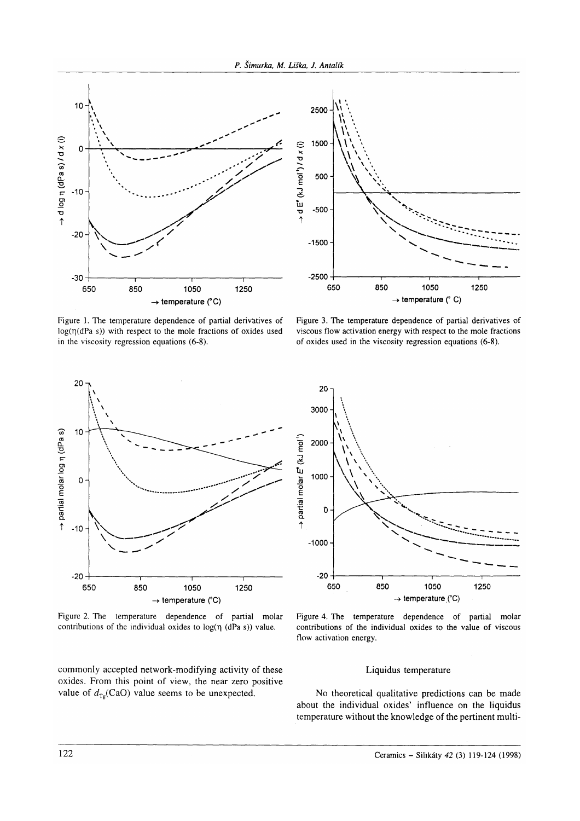

Figure l. The temperature dependence of partial derivatives of  $log(\eta(dPa s))$  with respect to the mole fractions of oxides used in the viscosity regression equations (6-8).



Figure 3. The temperature dependence of partial derivatives of viscous flow activation energy with respect to the mole fractions of oxides used in the viscosity regression equations (6-8).



Figure 2. The temperature dependence of partial molar contributions of the individual oxides to  $log(\eta$  (dPa s)) value.

commonly accepted network-modifying activity of these oxides. From this point of view, the near zero positive value of  $d_{T<sub>p</sub>}(CaO)$  value seems to be unexpected.



Figure 4. The temperature dependence of partial molar contributions of the individual oxides to the value of viscous flow activation energy.

## Liquidus temperature

No theoretical qualitative predictions can be made about the individual oxides' influence on the liquidus temperature without the knowledge of the pertinent multi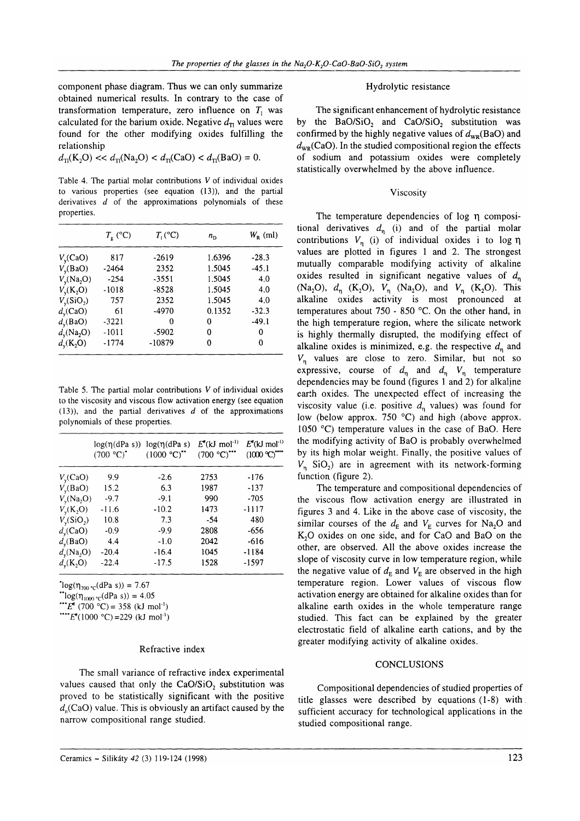component phase diagram. Thus we can only summarize obtained numerical results. In contrary to the case of transformation temperature, zero influence on  $T_1$  was calculated for the barium oxide. Negative  $d_{\text{T1}}$  values were found for the other modifying oxides fulfilling the relationship

$$
d_{\rm TI}({\rm K_2O}) << d_{\rm TI}({\rm Na_2O}) < d_{\rm TI}({\rm CaO}) < d_{\rm TI}({\rm BaO}) = 0.
$$

Table 4. The partial molar contributions V of individual oxides to various properties (see equation (13)), and the partial derivatives  $d$  of the approximations polynomials of these properties.

|              | $T_{\rm g}$ (°C) | $T_1$ (°C) | $n_{\rm D}$ | $W_{R}$ (ml) |
|--------------|------------------|------------|-------------|--------------|
| $V_v(CaO)$   | 817              | $-2619$    | 1.6396      | $-28.3$      |
| $V_v(BaO)$   | -2464            | 2352       | 1.5045      | $-45.1$      |
| $V_v(Na_2O)$ | $-254$           | $-3551$    | 1.5045      | 4.0          |
| $V_v(K_2O)$  | $-1018$          | $-8528$    | 1.5045      | 4.0          |
| $V_v(SiO_2)$ | 757              | 2352       | 1.5045      | 4.0          |
| $d_v(CaO)$   | 61               | $-4970$    | 0.1352      | $-32.3$      |
| $d_v(BaO)$   | $-3221$          | 0          | 0           | $-49.1$      |
| $d_v(Na_2O)$ | $-1011$          | $-5902$    | 0           | 0            |
| $d_v(K_2O)$  | $-1774$          | $-10879$   | 0           | 0            |

Table 5. The partial molar contributions V of individual oxides to the viscosity and viscous flow activation energy (see equation  $(13)$ ), and the partial derivatives d of the approximations polynomials of these properties.

|              | $log(\eta(dPa s))$ $log(\eta(dPa s))$<br>$(700 °C)^*$ | (1000 °C) | $E^*(kJ \text{ mol}^{-1})$<br>$(700 °C)$ <sup>***</sup> | $E^*(kJ \mod 1)$<br>(1000 °C) |
|--------------|-------------------------------------------------------|-----------|---------------------------------------------------------|-------------------------------|
| $V_v(CaO)$   | 9.9                                                   | $-2.6$    | 2753                                                    | -176                          |
| $V_v(BaO)$   | 15.2                                                  | 6.3       | 1987                                                    | -137                          |
| $V_v(Na_2O)$ | $-9.7$                                                | $-9.1$    | 990                                                     | $-705$                        |
| $V_v(K_2O)$  | $-11.6$                                               | $-10.2$   | 1473                                                    | -1117                         |
| $V_v(SiO_2)$ | 10.8                                                  | 7.3       | $-54$                                                   | 480                           |
| $d_v(CaO)$   | $-0.9$                                                | $-9.9$    | 2808                                                    | $-656$                        |
| $d_v(BaO)$   | 4.4                                                   | $-1.0$    | 2042                                                    | $-616$                        |
| $d_v(Na_2O)$ | $-20.4$                                               | $-16.4$   | 1045                                                    | -1184                         |
| $d_v(K_2O)$  | $-22.4$                                               | $-17.5$   | 1528                                                    | $-1597$                       |

 $log(\eta_{700} \text{ °C}(\text{dPa s})) = 7.67$ 

"log( $\eta_{1000}$  <sub>"c</sub>(dPa s)) = 4.05

 $E^*(700 \text{ °C}) = 358 \text{ (kJ mol}^{-1})$ 

"" $E^*(1000 °C) = 229$  (kJ mol<sup>-1</sup>)

## Refractive index

The small variance of refractive index experimental values caused that only the CaO/SiO, substitution was proved to be statistically significant with the positive  $d_n$ (CaO) value. This is obviously an artifact caused by the narrow compositional range studied.

## Hydrolytic resistance

The significant enhancement of hydrolytic resistance by the  $BaO/SiO<sub>2</sub>$  and  $CaO/SiO<sub>2</sub>$  substitution was confirmed by the highly negative values of  $d_{\text{wp}}(BaO)$  and  $d_{\text{wp}}(CaO)$ . In the studied compositional region the effects of sodium and potassium oxides were completely statistically overwhelmed by the above influence.

## Viscosity

The temperature dependencies of log n compositional derivatives  $d_n$  (i) and of the partial molar contributions  $V_n$  (i) of individual oxides i to log  $\eta$ values are plotted in figures I and 2. The strongest mutually comparable modifying activity of alkaline oxides resulted in significant negative values of  $d_n$ (Na<sub>2</sub>O),  $d_n$  (K<sub>2</sub>O),  $V_n$  (Na<sub>2</sub>O), and  $V_n$  (K<sub>2</sub>O). This alkaline cxides activity is most pronounced at temperatures about 750 - 850 'C. On the other hand, in the high temperature region, where the silicate network is highly thermally disrupted, the modifying effect of alkaline oxides is minimized, e.g. the respective  $d_n$  and  $V_n$  values are close to zero. Similar, but not so expressive, course of  $d_n$  and  $d_n$   $V_n$  temperature dependencies may be found (figures I and 2) for alkaline earth oxides. The unexpected effect of increasing the viscosity value (i.e. positive  $d_n$  values) was found for low (below approx. 750  $^{\circ}$ C) and high (above approx. 1050  $^{\circ}$ C) temperature values in the case of BaO. Here the modifying activity of BaO is probably overwhelmed by its high molar weight. Finally, the positive values of  $V_n$  SiO<sub>2</sub>) are in agreement with its network-forming function (figure 2).

The temperature and compositional dependencies of the viscous flow activation energy are illustrated in figures 3 and 4. Like in the above case of viscosity, the similar courses of the  $d_E$  and  $V_E$  curves for Na<sub>2</sub>O and K<sub>2</sub>O oxides on one side, and for CaO and BaO on the other, are observed. All the above oxides increase the slope of viscosity curve in low temperature region, while the negative value of  $d_E$  and  $V_E$  are observed in the high temperature region. Lower values of viscous flow activation energy are obtained for alkaline oxides than for alkaline earth oxides in the whole temperature range studied. This fact can be explained by the greater electrostatic field of alkaline earth cations, and by the greater modifying activity of alkaline oxides.

#### CONCLUSIONS

Compositional dependencies of studied properties of title glasses were described by equations (1-8) with sufficient accuracy for technological applications in the studied compositional range.